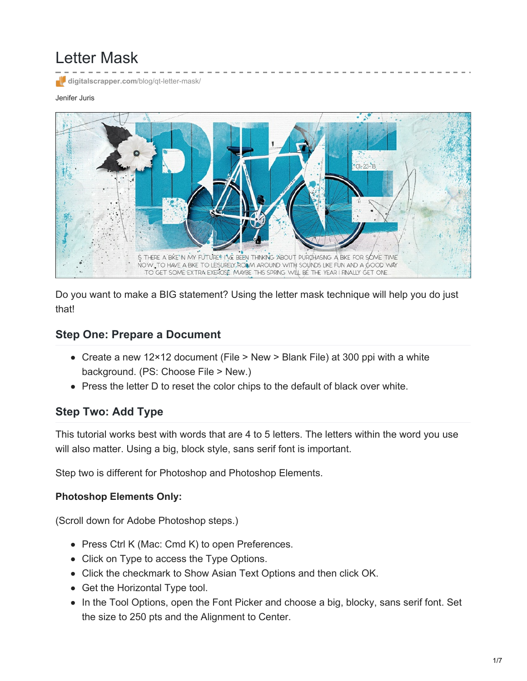# Letter Mask

**[digitalscrapper.com](https://www.digitalscrapper.com/blog/qt-letter-mask/)**/blog/qt-letter-mask/

#### Jenifer Juris



Do you want to make a BIG statement? Using the letter mask technique will help you do just that!

#### **Step One: Prepare a Document**

- Create a new 12×12 document (File > New > Blank File) at 300 ppi with a white background. (PS: Choose File > New.)
- Press the letter D to reset the color chips to the default of black over white.

### **Step Two: Add Type**

This tutorial works best with words that are 4 to 5 letters. The letters within the word you use will also matter. Using a big, block style, sans serif font is important.

Step two is different for Photoshop and Photoshop Elements.

#### **Photoshop Elements Only:**

(Scroll down for Adobe Photoshop steps.)

- Press Ctrl K (Mac: Cmd K) to open Preferences.
- Click on Type to access the Type Options.
- Click the checkmark to Show Asian Text Options and then click OK.
- Get the Horizontal Type tool.
- In the Tool Options, open the Font Picker and choose a big, blocky, sans serif font. Set the size to 250 pts and the Alignment to Center.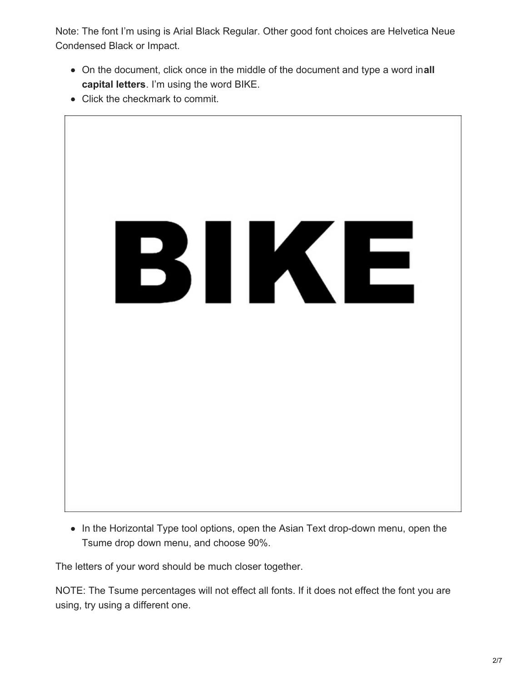Note: The font I'm using is Arial Black Regular. Other good font choices are Helvetica Neue Condensed Black or Impact.

- On the document, click once in the middle of the document and type a word in**all capital letters**. I'm using the word BIKE.
- Click the checkmark to commit.



• In the Horizontal Type tool options, open the Asian Text drop-down menu, open the Tsume drop down menu, and choose 90%.

The letters of your word should be much closer together.

NOTE: The Tsume percentages will not effect all fonts. If it does not effect the font you are using, try using a different one.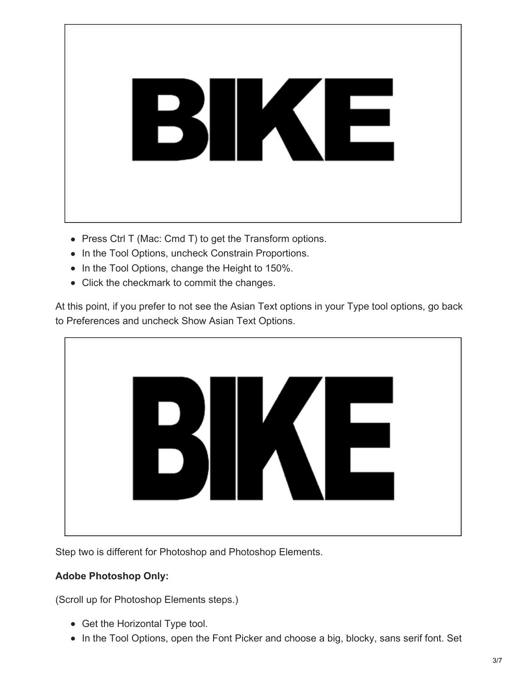

- Press Ctrl T (Mac: Cmd T) to get the Transform options.
- In the Tool Options, uncheck Constrain Proportions.
- In the Tool Options, change the Height to 150%.
- Click the checkmark to commit the changes.

At this point, if you prefer to not see the Asian Text options in your Type tool options, go back to Preferences and uncheck Show Asian Text Options.



Step two is different for Photoshop and Photoshop Elements.

## **Adobe Photoshop Only:**

(Scroll up for Photoshop Elements steps.)

- Get the Horizontal Type tool.
- In the Tool Options, open the Font Picker and choose a big, blocky, sans serif font. Set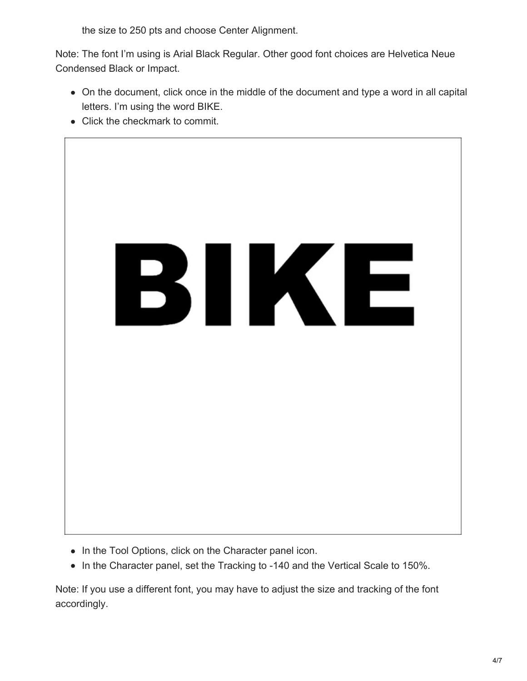the size to 250 pts and choose Center Alignment.

Note: The font I'm using is Arial Black Regular. Other good font choices are Helvetica Neue Condensed Black or Impact.

- On the document, click once in the middle of the document and type a word in all capital letters. I'm using the word BIKE.
- Click the checkmark to commit.



- In the Tool Options, click on the Character panel icon.
- In the Character panel, set the Tracking to -140 and the Vertical Scale to 150%.

Note: If you use a different font, you may have to adjust the size and tracking of the font accordingly.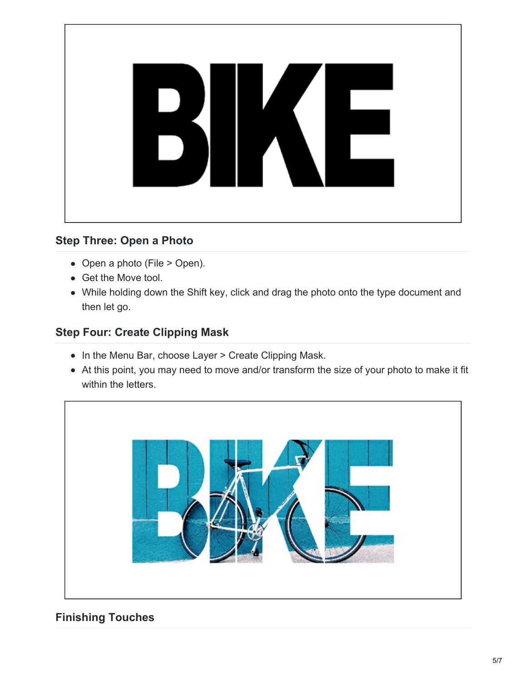

## **Step Three: Open a Photo**

- Open a photo (File > Open).
- Get the Move tool.
- While holding down the Shift key, click and drag the photo onto the type document and then let go.

## **Step Four: Create Clipping Mask**

- In the Menu Bar, choose Layer > Create Clipping Mask.
- At this point, you may need to move and/or transform the size of your photo to make it fit within the letters.



## **Finishing Touches**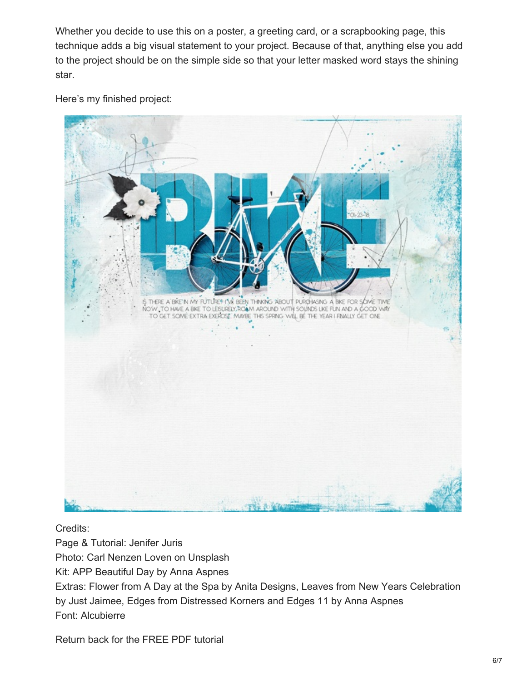Whether you decide to use this on a poster, a greeting card, or a scrapbooking page, this technique adds a big visual statement to your project. Because of that, anything else you add to the project should be on the simple side so that your letter masked word stays the shining star.

Here's my finished project:



Credits:

Page & Tutorial: Jenifer Juris Photo: Carl Nenzen Loven on Unsplash Kit: APP Beautiful Day by Anna Aspnes Extras: Flower from A Day at the Spa by Anita Designs, Leaves from New Years Celebration by Just Jaimee, Edges from Distressed Korners and Edges 11 by Anna Aspnes Font: Alcubierre

Return back for the FREE PDF tutorial